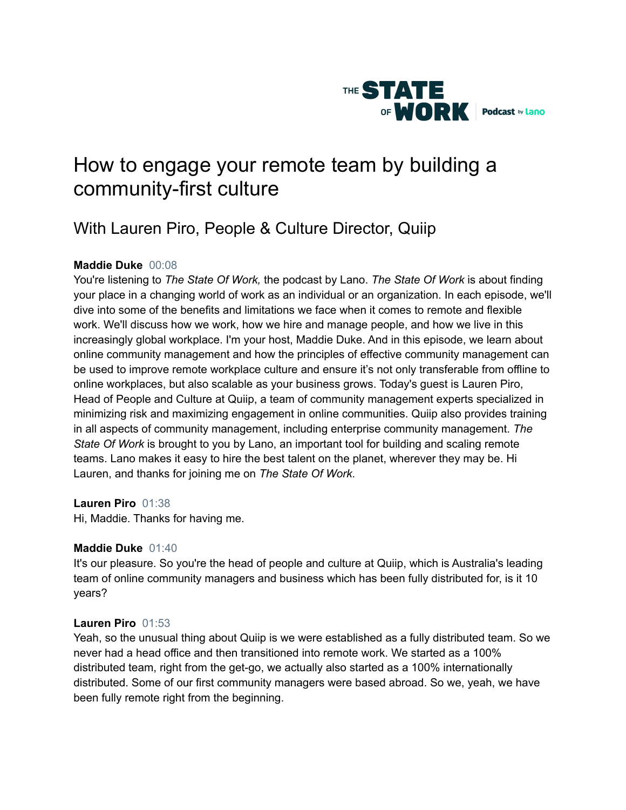

# How to engage your remote team by building a community-first culture

# With Lauren Piro, People & Culture Director, Quiip

# **Maddie Duke** 00:08

You're listening to *The State Of Work,* the podcast by Lano. *The State Of Work* is about finding your place in a changing world of work as an individual or an organization. In each episode, we'll dive into some of the benefits and limitations we face when it comes to remote and flexible work. We'll discuss how we work, how we hire and manage people, and how we live in this increasingly global workplace. I'm your host, Maddie Duke. And in this episode, we learn about online community management and how the principles of effective community management can be used to improve remote workplace culture and ensure it's not only transferable from offline to online workplaces, but also scalable as your business grows. Today's guest is Lauren Piro, Head of People and Culture at Quiip, a team of community management experts specialized in minimizing risk and maximizing engagement in online communities. Quiip also provides training in all aspects of community management, including enterprise community management. *The State Of Work* is brought to you by Lano, an important tool for building and scaling remote teams. Lano makes it easy to hire the best talent on the planet, wherever they may be. Hi Lauren, and thanks for joining me on *The State Of Work*.

#### **Lauren Piro** 01:38

Hi, Maddie. Thanks for having me.

#### **Maddie Duke** 01:40

It's our pleasure. So you're the head of people and culture at Quiip, which is Australia's leading team of online community managers and business which has been fully distributed for, is it 10 years?

#### **Lauren Piro** 01:53

Yeah, so the unusual thing about Quiip is we were established as a fully distributed team. So we never had a head office and then transitioned into remote work. We started as a 100% distributed team, right from the get-go, we actually also started as a 100% internationally distributed. Some of our first community managers were based abroad. So we, yeah, we have been fully remote right from the beginning.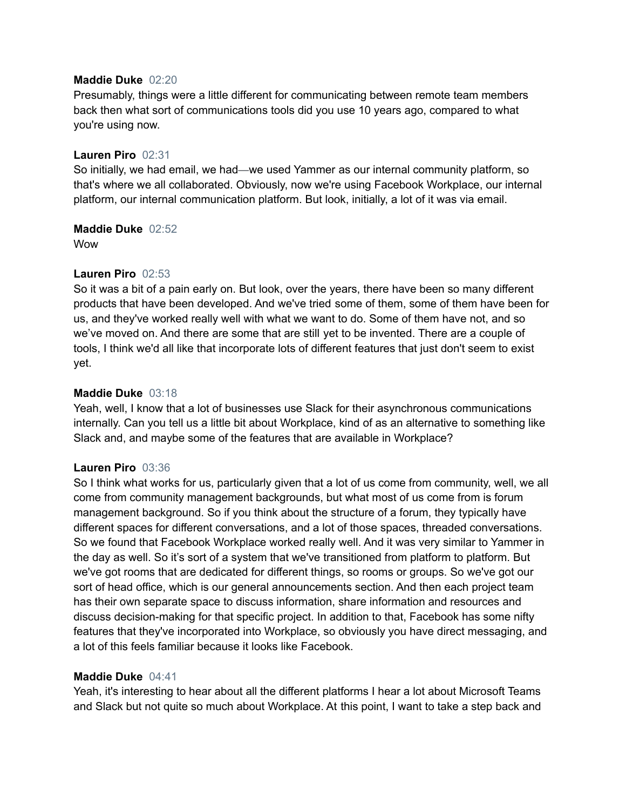#### **Maddie Duke** 02:20

Presumably, things were a little different for communicating between remote team members back then what sort of communications tools did you use 10 years ago, compared to what you're using now.

#### **Lauren Piro** 02:31

So initially, we had email, we had—we used Yammer as our internal community platform, so that's where we all collaborated. Obviously, now we're using Facebook Workplace, our internal platform, our internal communication platform. But look, initially, a lot of it was via email.

#### **Maddie Duke** 02:52

**Wow** 

# **Lauren Piro** 02:53

So it was a bit of a pain early on. But look, over the years, there have been so many different products that have been developed. And we've tried some of them, some of them have been for us, and they've worked really well with what we want to do. Some of them have not, and so we've moved on. And there are some that are still yet to be invented. There are a couple of tools, I think we'd all like that incorporate lots of different features that just don't seem to exist yet.

#### **Maddie Duke** 03:18

Yeah, well, I know that a lot of businesses use Slack for their asynchronous communications internally. Can you tell us a little bit about Workplace, kind of as an alternative to something like Slack and, and maybe some of the features that are available in Workplace?

#### **Lauren Piro** 03:36

So I think what works for us, particularly given that a lot of us come from community, well, we all come from community management backgrounds, but what most of us come from is forum management background. So if you think about the structure of a forum, they typically have different spaces for different conversations, and a lot of those spaces, threaded conversations. So we found that Facebook Workplace worked really well. And it was very similar to Yammer in the day as well. So it's sort of a system that we've transitioned from platform to platform. But we've got rooms that are dedicated for different things, so rooms or groups. So we've got our sort of head office, which is our general announcements section. And then each project team has their own separate space to discuss information, share information and resources and discuss decision-making for that specific project. In addition to that, Facebook has some nifty features that they've incorporated into Workplace, so obviously you have direct messaging, and a lot of this feels familiar because it looks like Facebook.

#### **Maddie Duke** 04:41

Yeah, it's interesting to hear about all the different platforms I hear a lot about Microsoft Teams and Slack but not quite so much about Workplace. At this point, I want to take a step back and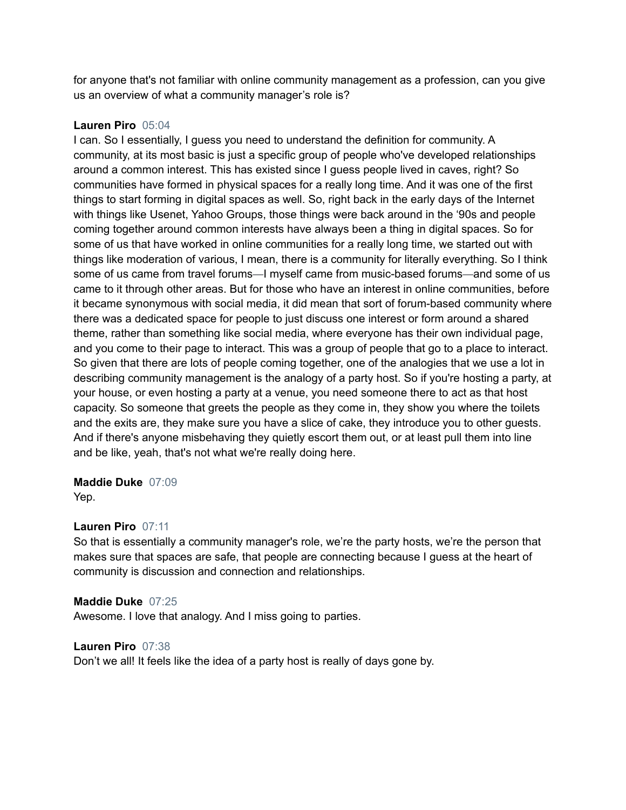for anyone that's not familiar with online community management as a profession, can you give us an overview of what a community manager's role is?

# **Lauren Piro** 05:04

I can. So I essentially, I guess you need to understand the definition for community. A community, at its most basic is just a specific group of people who've developed relationships around a common interest. This has existed since I guess people lived in caves, right? So communities have formed in physical spaces for a really long time. And it was one of the first things to start forming in digital spaces as well. So, right back in the early days of the Internet with things like Usenet, Yahoo Groups, those things were back around in the '90s and people coming together around common interests have always been a thing in digital spaces. So for some of us that have worked in online communities for a really long time, we started out with things like moderation of various, I mean, there is a community for literally everything. So I think some of us came from travel forums—I myself came from music-based forums—and some of us came to it through other areas. But for those who have an interest in online communities, before it became synonymous with social media, it did mean that sort of forum-based community where there was a dedicated space for people to just discuss one interest or form around a shared theme, rather than something like social media, where everyone has their own individual page, and you come to their page to interact. This was a group of people that go to a place to interact. So given that there are lots of people coming together, one of the analogies that we use a lot in describing community management is the analogy of a party host. So if you're hosting a party, at your house, or even hosting a party at a venue, you need someone there to act as that host capacity. So someone that greets the people as they come in, they show you where the toilets and the exits are, they make sure you have a slice of cake, they introduce you to other guests. And if there's anyone misbehaving they quietly escort them out, or at least pull them into line and be like, yeah, that's not what we're really doing here.

#### **Maddie Duke** 07:09

Yep.

#### **Lauren Piro** 07:11

So that is essentially a community manager's role, we're the party hosts, we're the person that makes sure that spaces are safe, that people are connecting because I guess at the heart of community is discussion and connection and relationships.

#### **Maddie Duke** 07:25

Awesome. I love that analogy. And I miss going to parties.

#### **Lauren Piro** 07:38

Don't we all! It feels like the idea of a party host is really of days gone by.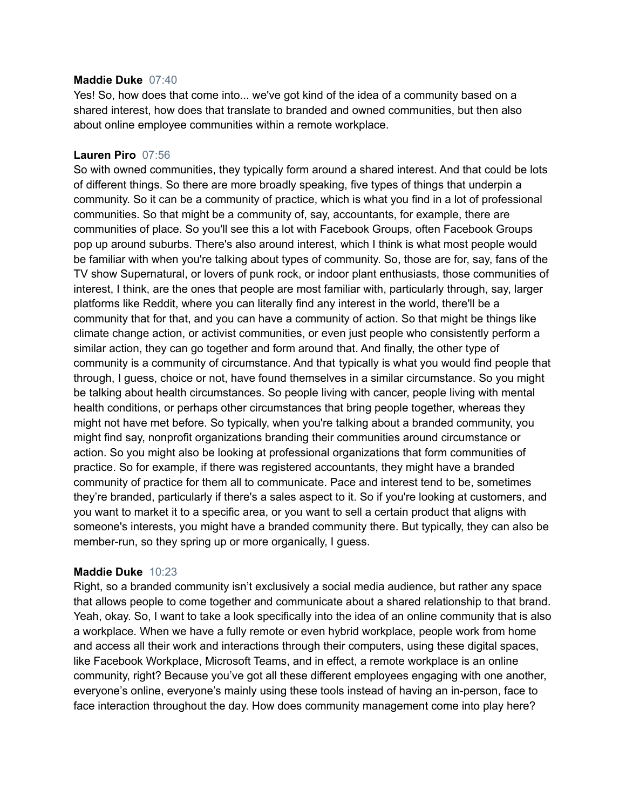#### **Maddie Duke** 07:40

Yes! So, how does that come into... we've got kind of the idea of a community based on a shared interest, how does that translate to branded and owned communities, but then also about online employee communities within a remote workplace.

#### **Lauren Piro** 07:56

So with owned communities, they typically form around a shared interest. And that could be lots of different things. So there are more broadly speaking, five types of things that underpin a community. So it can be a community of practice, which is what you find in a lot of professional communities. So that might be a community of, say, accountants, for example, there are communities of place. So you'll see this a lot with Facebook Groups, often Facebook Groups pop up around suburbs. There's also around interest, which I think is what most people would be familiar with when you're talking about types of community. So, those are for, say, fans of the TV show Supernatural, or lovers of punk rock, or indoor plant enthusiasts, those communities of interest, I think, are the ones that people are most familiar with, particularly through, say, larger platforms like Reddit, where you can literally find any interest in the world, there'll be a community that for that, and you can have a community of action. So that might be things like climate change action, or activist communities, or even just people who consistently perform a similar action, they can go together and form around that. And finally, the other type of community is a community of circumstance. And that typically is what you would find people that through, I guess, choice or not, have found themselves in a similar circumstance. So you might be talking about health circumstances. So people living with cancer, people living with mental health conditions, or perhaps other circumstances that bring people together, whereas they might not have met before. So typically, when you're talking about a branded community, you might find say, nonprofit organizations branding their communities around circumstance or action. So you might also be looking at professional organizations that form communities of practice. So for example, if there was registered accountants, they might have a branded community of practice for them all to communicate. Pace and interest tend to be, sometimes they're branded, particularly if there's a sales aspect to it. So if you're looking at customers, and you want to market it to a specific area, or you want to sell a certain product that aligns with someone's interests, you might have a branded community there. But typically, they can also be member-run, so they spring up or more organically, I guess.

#### **Maddie Duke** 10:23

Right, so a branded community isn't exclusively a social media audience, but rather any space that allows people to come together and communicate about a shared relationship to that brand. Yeah, okay. So, I want to take a look specifically into the idea of an online community that is also a workplace. When we have a fully remote or even hybrid workplace, people work from home and access all their work and interactions through their computers, using these digital spaces, like Facebook Workplace, Microsoft Teams, and in effect, a remote workplace is an online community, right? Because you've got all these different employees engaging with one another, everyone's online, everyone's mainly using these tools instead of having an in-person, face to face interaction throughout the day. How does community management come into play here?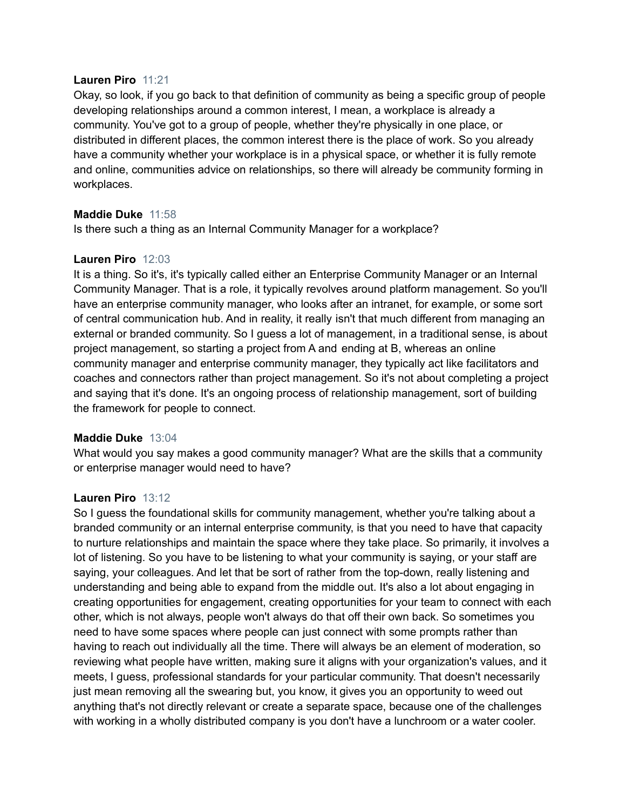#### **Lauren Piro** 11:21

Okay, so look, if you go back to that definition of community as being a specific group of people developing relationships around a common interest, I mean, a workplace is already a community. You've got to a group of people, whether they're physically in one place, or distributed in different places, the common interest there is the place of work. So you already have a community whether your workplace is in a physical space, or whether it is fully remote and online, communities advice on relationships, so there will already be community forming in workplaces.

#### **Maddie Duke** 11:58

Is there such a thing as an Internal Community Manager for a workplace?

# **Lauren Piro** 12:03

It is a thing. So it's, it's typically called either an Enterprise Community Manager or an Internal Community Manager. That is a role, it typically revolves around platform management. So you'll have an enterprise community manager, who looks after an intranet, for example, or some sort of central communication hub. And in reality, it really isn't that much different from managing an external or branded community. So I guess a lot of management, in a traditional sense, is about project management, so starting a project from A and ending at B, whereas an online community manager and enterprise community manager, they typically act like facilitators and coaches and connectors rather than project management. So it's not about completing a project and saying that it's done. It's an ongoing process of relationship management, sort of building the framework for people to connect.

# **Maddie Duke** 13:04

What would you say makes a good community manager? What are the skills that a community or enterprise manager would need to have?

#### **Lauren Piro** 13:12

So I guess the foundational skills for community management, whether you're talking about a branded community or an internal enterprise community, is that you need to have that capacity to nurture relationships and maintain the space where they take place. So primarily, it involves a lot of listening. So you have to be listening to what your community is saying, or your staff are saying, your colleagues. And let that be sort of rather from the top-down, really listening and understanding and being able to expand from the middle out. It's also a lot about engaging in creating opportunities for engagement, creating opportunities for your team to connect with each other, which is not always, people won't always do that off their own back. So sometimes you need to have some spaces where people can just connect with some prompts rather than having to reach out individually all the time. There will always be an element of moderation, so reviewing what people have written, making sure it aligns with your organization's values, and it meets, I guess, professional standards for your particular community. That doesn't necessarily just mean removing all the swearing but, you know, it gives you an opportunity to weed out anything that's not directly relevant or create a separate space, because one of the challenges with working in a wholly distributed company is you don't have a lunchroom or a water cooler.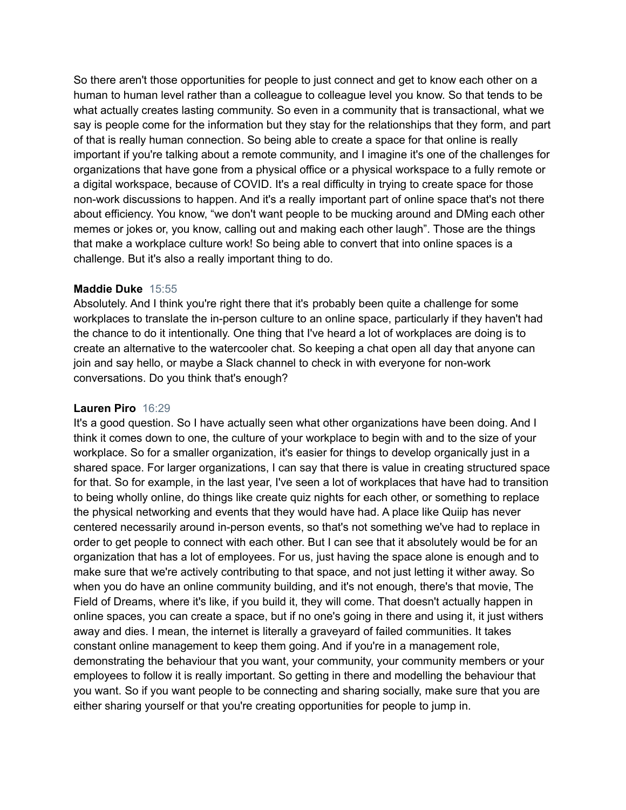So there aren't those opportunities for people to just connect and get to know each other on a human to human level rather than a colleague to colleague level you know. So that tends to be what actually creates lasting community. So even in a community that is transactional, what we say is people come for the information but they stay for the relationships that they form, and part of that is really human connection. So being able to create a space for that online is really important if you're talking about a remote community, and I imagine it's one of the challenges for organizations that have gone from a physical office or a physical workspace to a fully remote or a digital workspace, because of COVID. It's a real difficulty in trying to create space for those non-work discussions to happen. And it's a really important part of online space that's not there about efficiency. You know, "we don't want people to be mucking around and DMing each other memes or jokes or, you know, calling out and making each other laugh". Those are the things that make a workplace culture work! So being able to convert that into online spaces is a challenge. But it's also a really important thing to do.

#### **Maddie Duke** 15:55

Absolutely. And I think you're right there that it's probably been quite a challenge for some workplaces to translate the in-person culture to an online space, particularly if they haven't had the chance to do it intentionally. One thing that I've heard a lot of workplaces are doing is to create an alternative to the watercooler chat. So keeping a chat open all day that anyone can join and say hello, or maybe a Slack channel to check in with everyone for non-work conversations. Do you think that's enough?

#### **Lauren Piro** 16:29

It's a good question. So I have actually seen what other organizations have been doing. And I think it comes down to one, the culture of your workplace to begin with and to the size of your workplace. So for a smaller organization, it's easier for things to develop organically just in a shared space. For larger organizations, I can say that there is value in creating structured space for that. So for example, in the last year, I've seen a lot of workplaces that have had to transition to being wholly online, do things like create quiz nights for each other, or something to replace the physical networking and events that they would have had. A place like Quiip has never centered necessarily around in-person events, so that's not something we've had to replace in order to get people to connect with each other. But I can see that it absolutely would be for an organization that has a lot of employees. For us, just having the space alone is enough and to make sure that we're actively contributing to that space, and not just letting it wither away. So when you do have an online community building, and it's not enough, there's that movie, The Field of Dreams, where it's like, if you build it, they will come. That doesn't actually happen in online spaces, you can create a space, but if no one's going in there and using it, it just withers away and dies. I mean, the internet is literally a graveyard of failed communities. It takes constant online management to keep them going. And if you're in a management role, demonstrating the behaviour that you want, your community, your community members or your employees to follow it is really important. So getting in there and modelling the behaviour that you want. So if you want people to be connecting and sharing socially, make sure that you are either sharing yourself or that you're creating opportunities for people to jump in.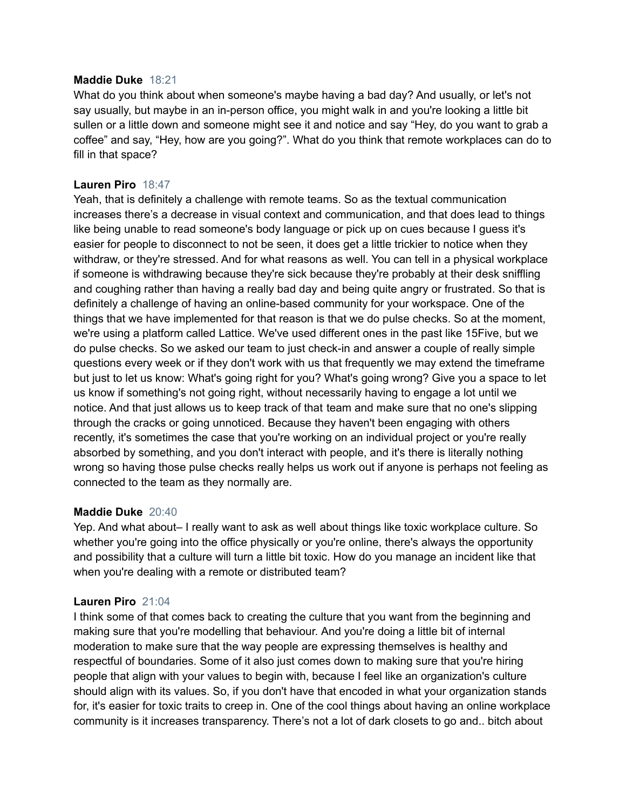#### **Maddie Duke** 18:21

What do you think about when someone's maybe having a bad day? And usually, or let's not say usually, but maybe in an in-person office, you might walk in and you're looking a little bit sullen or a little down and someone might see it and notice and say "Hey, do you want to grab a coffee" and say, "Hey, how are you going?". What do you think that remote workplaces can do to fill in that space?

### **Lauren Piro** 18:47

Yeah, that is definitely a challenge with remote teams. So as the textual communication increases there's a decrease in visual context and communication, and that does lead to things like being unable to read someone's body language or pick up on cues because I guess it's easier for people to disconnect to not be seen, it does get a little trickier to notice when they withdraw, or they're stressed. And for what reasons as well. You can tell in a physical workplace if someone is withdrawing because they're sick because they're probably at their desk sniffling and coughing rather than having a really bad day and being quite angry or frustrated. So that is definitely a challenge of having an online-based community for your workspace. One of the things that we have implemented for that reason is that we do pulse checks. So at the moment, we're using a platform called Lattice. We've used different ones in the past like 15Five, but we do pulse checks. So we asked our team to just check-in and answer a couple of really simple questions every week or if they don't work with us that frequently we may extend the timeframe but just to let us know: What's going right for you? What's going wrong? Give you a space to let us know if something's not going right, without necessarily having to engage a lot until we notice. And that just allows us to keep track of that team and make sure that no one's slipping through the cracks or going unnoticed. Because they haven't been engaging with others recently, it's sometimes the case that you're working on an individual project or you're really absorbed by something, and you don't interact with people, and it's there is literally nothing wrong so having those pulse checks really helps us work out if anyone is perhaps not feeling as connected to the team as they normally are.

#### **Maddie Duke** 20:40

Yep. And what about– I really want to ask as well about things like toxic workplace culture. So whether you're going into the office physically or you're online, there's always the opportunity and possibility that a culture will turn a little bit toxic. How do you manage an incident like that when you're dealing with a remote or distributed team?

#### **Lauren Piro** 21:04

I think some of that comes back to creating the culture that you want from the beginning and making sure that you're modelling that behaviour. And you're doing a little bit of internal moderation to make sure that the way people are expressing themselves is healthy and respectful of boundaries. Some of it also just comes down to making sure that you're hiring people that align with your values to begin with, because I feel like an organization's culture should align with its values. So, if you don't have that encoded in what your organization stands for, it's easier for toxic traits to creep in. One of the cool things about having an online workplace community is it increases transparency. There's not a lot of dark closets to go and.. bitch about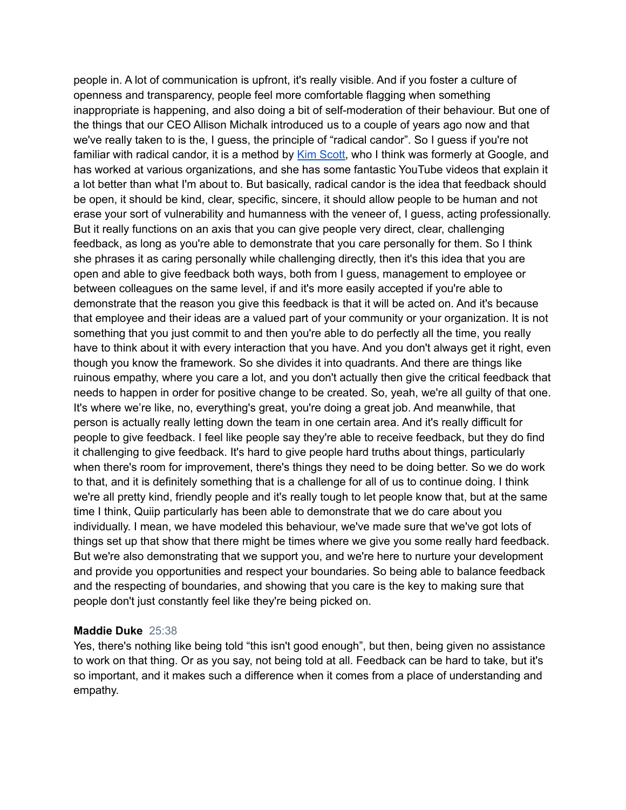people in. A lot of communication is upfront, it's really visible. And if you foster a culture of openness and transparency, people feel more comfortable flagging when something inappropriate is happening, and also doing a bit of self-moderation of their behaviour. But one of the things that our CEO Allison Michalk introduced us to a couple of years ago now and that we've really taken to is the, I guess, the principle of "radical candor". So I guess if you're not familiar with radical candor, it is a method by Kim [Scott,](https://kimmalonescott.com/) who I think was formerly at Google, and has worked at various organizations, and she has some fantastic YouTube videos that explain it a lot better than what I'm about to. But basically, radical candor is the idea that feedback should be open, it should be kind, clear, specific, sincere, it should allow people to be human and not erase your sort of vulnerability and humanness with the veneer of, I guess, acting professionally. But it really functions on an axis that you can give people very direct, clear, challenging feedback, as long as you're able to demonstrate that you care personally for them. So I think she phrases it as caring personally while challenging directly, then it's this idea that you are open and able to give feedback both ways, both from I guess, management to employee or between colleagues on the same level, if and it's more easily accepted if you're able to demonstrate that the reason you give this feedback is that it will be acted on. And it's because that employee and their ideas are a valued part of your community or your organization. It is not something that you just commit to and then you're able to do perfectly all the time, you really have to think about it with every interaction that you have. And you don't always get it right, even though you know the framework. So she divides it into quadrants. And there are things like ruinous empathy, where you care a lot, and you don't actually then give the critical feedback that needs to happen in order for positive change to be created. So, yeah, we're all guilty of that one. It's where we're like, no, everything's great, you're doing a great job. And meanwhile, that person is actually really letting down the team in one certain area. And it's really difficult for people to give feedback. I feel like people say they're able to receive feedback, but they do find it challenging to give feedback. It's hard to give people hard truths about things, particularly when there's room for improvement, there's things they need to be doing better. So we do work to that, and it is definitely something that is a challenge for all of us to continue doing. I think we're all pretty kind, friendly people and it's really tough to let people know that, but at the same time I think, Quiip particularly has been able to demonstrate that we do care about you individually. I mean, we have modeled this behaviour, we've made sure that we've got lots of things set up that show that there might be times where we give you some really hard feedback. But we're also demonstrating that we support you, and we're here to nurture your development and provide you opportunities and respect your boundaries. So being able to balance feedback and the respecting of boundaries, and showing that you care is the key to making sure that people don't just constantly feel like they're being picked on.

#### **Maddie Duke** 25:38

Yes, there's nothing like being told "this isn't good enough", but then, being given no assistance to work on that thing. Or as you say, not being told at all. Feedback can be hard to take, but it's so important, and it makes such a difference when it comes from a place of understanding and empathy.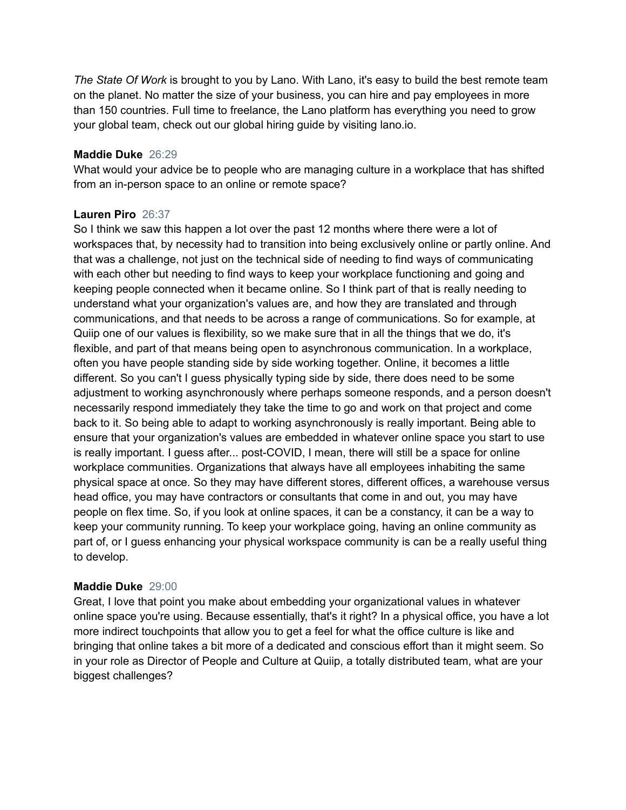*The State Of Work* is brought to you by Lano. With Lano, it's easy to build the best remote team on the planet. No matter the size of your business, you can hire and pay employees in more than 150 countries. Full time to freelance, the Lano platform has everything you need to grow your global team, check out our global hiring guide by visiting lano.io.

#### **Maddie Duke** 26:29

What would your advice be to people who are managing culture in a workplace that has shifted from an in-person space to an online or remote space?

#### **Lauren Piro** 26:37

So I think we saw this happen a lot over the past 12 months where there were a lot of workspaces that, by necessity had to transition into being exclusively online or partly online. And that was a challenge, not just on the technical side of needing to find ways of communicating with each other but needing to find ways to keep your workplace functioning and going and keeping people connected when it became online. So I think part of that is really needing to understand what your organization's values are, and how they are translated and through communications, and that needs to be across a range of communications. So for example, at Quiip one of our values is flexibility, so we make sure that in all the things that we do, it's flexible, and part of that means being open to asynchronous communication. In a workplace, often you have people standing side by side working together. Online, it becomes a little different. So you can't I guess physically typing side by side, there does need to be some adjustment to working asynchronously where perhaps someone responds, and a person doesn't necessarily respond immediately they take the time to go and work on that project and come back to it. So being able to adapt to working asynchronously is really important. Being able to ensure that your organization's values are embedded in whatever online space you start to use is really important. I guess after... post-COVID, I mean, there will still be a space for online workplace communities. Organizations that always have all employees inhabiting the same physical space at once. So they may have different stores, different offices, a warehouse versus head office, you may have contractors or consultants that come in and out, you may have people on flex time. So, if you look at online spaces, it can be a constancy, it can be a way to keep your community running. To keep your workplace going, having an online community as part of, or I guess enhancing your physical workspace community is can be a really useful thing to develop.

#### **Maddie Duke** 29:00

Great, I love that point you make about embedding your organizational values in whatever online space you're using. Because essentially, that's it right? In a physical office, you have a lot more indirect touchpoints that allow you to get a feel for what the office culture is like and bringing that online takes a bit more of a dedicated and conscious effort than it might seem. So in your role as Director of People and Culture at Quiip, a totally distributed team, what are your biggest challenges?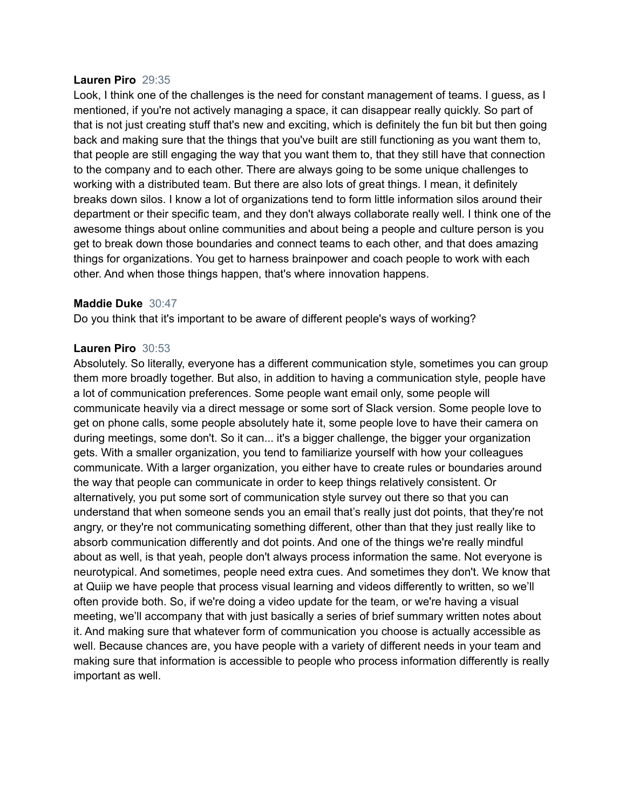#### **Lauren Piro** 29:35

Look, I think one of the challenges is the need for constant management of teams. I guess, as I mentioned, if you're not actively managing a space, it can disappear really quickly. So part of that is not just creating stuff that's new and exciting, which is definitely the fun bit but then going back and making sure that the things that you've built are still functioning as you want them to, that people are still engaging the way that you want them to, that they still have that connection to the company and to each other. There are always going to be some unique challenges to working with a distributed team. But there are also lots of great things. I mean, it definitely breaks down silos. I know a lot of organizations tend to form little information silos around their department or their specific team, and they don't always collaborate really well. I think one of the awesome things about online communities and about being a people and culture person is you get to break down those boundaries and connect teams to each other, and that does amazing things for organizations. You get to harness brainpower and coach people to work with each other. And when those things happen, that's where innovation happens.

#### **Maddie Duke** 30:47

Do you think that it's important to be aware of different people's ways of working?

#### **Lauren Piro** 30:53

Absolutely. So literally, everyone has a different communication style, sometimes you can group them more broadly together. But also, in addition to having a communication style, people have a lot of communication preferences. Some people want email only, some people will communicate heavily via a direct message or some sort of Slack version. Some people love to get on phone calls, some people absolutely hate it, some people love to have their camera on during meetings, some don't. So it can... it's a bigger challenge, the bigger your organization gets. With a smaller organization, you tend to familiarize yourself with how your colleagues communicate. With a larger organization, you either have to create rules or boundaries around the way that people can communicate in order to keep things relatively consistent. Or alternatively, you put some sort of communication style survey out there so that you can understand that when someone sends you an email that's really just dot points, that they're not angry, or they're not communicating something different, other than that they just really like to absorb communication differently and dot points. And one of the things we're really mindful about as well, is that yeah, people don't always process information the same. Not everyone is neurotypical. And sometimes, people need extra cues. And sometimes they don't. We know that at Quiip we have people that process visual learning and videos differently to written, so we'll often provide both. So, if we're doing a video update for the team, or we're having a visual meeting, we'll accompany that with just basically a series of brief summary written notes about it. And making sure that whatever form of communication you choose is actually accessible as well. Because chances are, you have people with a variety of different needs in your team and making sure that information is accessible to people who process information differently is really important as well.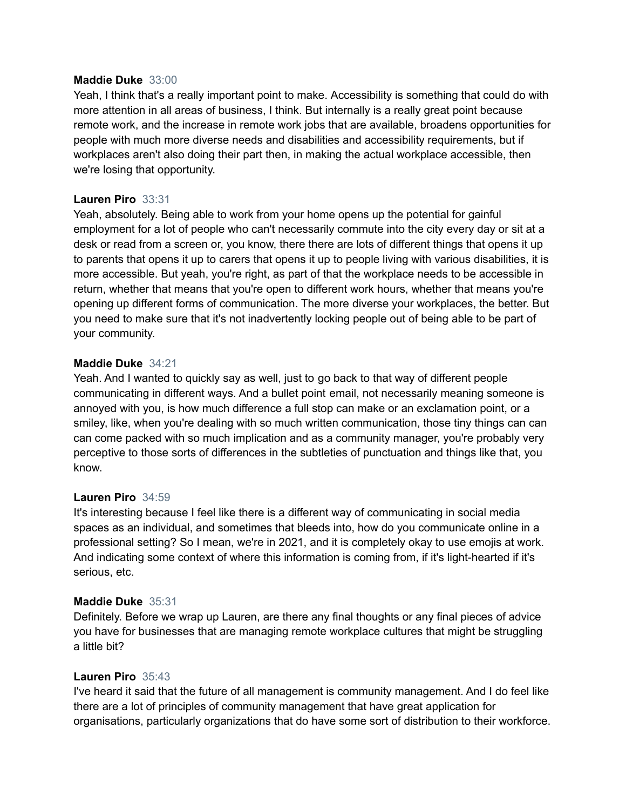#### **Maddie Duke** 33:00

Yeah, I think that's a really important point to make. Accessibility is something that could do with more attention in all areas of business, I think. But internally is a really great point because remote work, and the increase in remote work jobs that are available, broadens opportunities for people with much more diverse needs and disabilities and accessibility requirements, but if workplaces aren't also doing their part then, in making the actual workplace accessible, then we're losing that opportunity.

#### **Lauren Piro** 33:31

Yeah, absolutely. Being able to work from your home opens up the potential for gainful employment for a lot of people who can't necessarily commute into the city every day or sit at a desk or read from a screen or, you know, there there are lots of different things that opens it up to parents that opens it up to carers that opens it up to people living with various disabilities, it is more accessible. But yeah, you're right, as part of that the workplace needs to be accessible in return, whether that means that you're open to different work hours, whether that means you're opening up different forms of communication. The more diverse your workplaces, the better. But you need to make sure that it's not inadvertently locking people out of being able to be part of your community.

#### **Maddie Duke** 34:21

Yeah. And I wanted to quickly say as well, just to go back to that way of different people communicating in different ways. And a bullet point email, not necessarily meaning someone is annoyed with you, is how much difference a full stop can make or an exclamation point, or a smiley, like, when you're dealing with so much written communication, those tiny things can can can come packed with so much implication and as a community manager, you're probably very perceptive to those sorts of differences in the subtleties of punctuation and things like that, you know.

#### **Lauren Piro** 34:59

It's interesting because I feel like there is a different way of communicating in social media spaces as an individual, and sometimes that bleeds into, how do you communicate online in a professional setting? So I mean, we're in 2021, and it is completely okay to use emojis at work. And indicating some context of where this information is coming from, if it's light-hearted if it's serious, etc.

#### **Maddie Duke** 35:31

Definitely. Before we wrap up Lauren, are there any final thoughts or any final pieces of advice you have for businesses that are managing remote workplace cultures that might be struggling a little bit?

#### **Lauren Piro** 35:43

I've heard it said that the future of all management is community management. And I do feel like there are a lot of principles of community management that have great application for organisations, particularly organizations that do have some sort of distribution to their workforce.